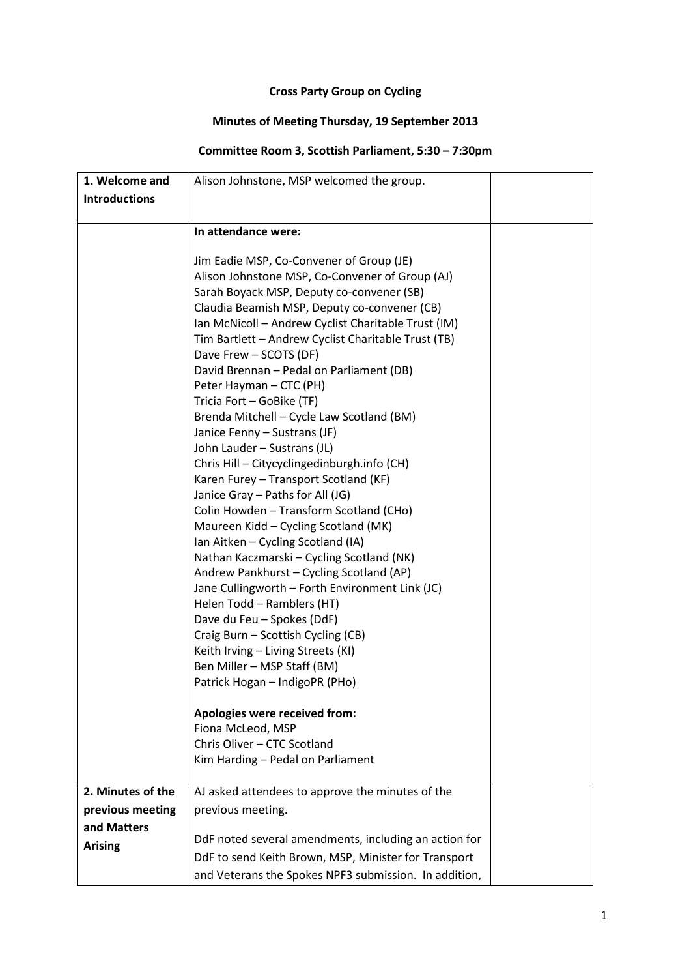## **Cross Party Group on Cycling**

## **Minutes of Meeting Thursday, 19 September 2013**

## **Committee Room 3, Scottish Parliament, 5:30 – 7:30pm**

| 1. Welcome and       | Alison Johnstone, MSP welcomed the group.                                            |  |
|----------------------|--------------------------------------------------------------------------------------|--|
| <b>Introductions</b> |                                                                                      |  |
|                      |                                                                                      |  |
|                      | In attendance were:                                                                  |  |
|                      |                                                                                      |  |
|                      | Jim Eadie MSP, Co-Convener of Group (JE)                                             |  |
|                      | Alison Johnstone MSP, Co-Convener of Group (AJ)                                      |  |
|                      | Sarah Boyack MSP, Deputy co-convener (SB)                                            |  |
|                      | Claudia Beamish MSP, Deputy co-convener (CB)                                         |  |
|                      | Ian McNicoll - Andrew Cyclist Charitable Trust (IM)                                  |  |
|                      | Tim Bartlett - Andrew Cyclist Charitable Trust (TB)                                  |  |
|                      | Dave Frew - SCOTS (DF)                                                               |  |
|                      | David Brennan - Pedal on Parliament (DB)                                             |  |
|                      | Peter Hayman - CTC (PH)                                                              |  |
|                      | Tricia Fort - GoBike (TF)                                                            |  |
|                      | Brenda Mitchell - Cycle Law Scotland (BM)                                            |  |
|                      | Janice Fenny - Sustrans (JF)                                                         |  |
|                      | John Lauder - Sustrans (JL)                                                          |  |
|                      | Chris Hill - Citycyclingedinburgh.info (CH)<br>Karen Furey - Transport Scotland (KF) |  |
|                      | Janice Gray - Paths for All (JG)                                                     |  |
|                      | Colin Howden - Transform Scotland (CHo)                                              |  |
|                      | Maureen Kidd - Cycling Scotland (MK)                                                 |  |
|                      | Ian Aitken - Cycling Scotland (IA)                                                   |  |
|                      | Nathan Kaczmarski – Cycling Scotland (NK)                                            |  |
|                      | Andrew Pankhurst - Cycling Scotland (AP)                                             |  |
|                      | Jane Cullingworth - Forth Environment Link (JC)                                      |  |
|                      | Helen Todd - Ramblers (HT)                                                           |  |
|                      | Dave du Feu - Spokes (DdF)                                                           |  |
|                      | Craig Burn - Scottish Cycling (CB)                                                   |  |
|                      | Keith Irving - Living Streets (KI)                                                   |  |
|                      | Ben Miller - MSP Staff (BM)                                                          |  |
|                      | Patrick Hogan - IndigoPR (PHo)                                                       |  |
|                      |                                                                                      |  |
|                      | Apologies were received from:                                                        |  |
|                      | Fiona McLeod, MSP                                                                    |  |
|                      | Chris Oliver - CTC Scotland                                                          |  |
|                      | Kim Harding - Pedal on Parliament                                                    |  |
| 2. Minutes of the    | AJ asked attendees to approve the minutes of the                                     |  |
| previous meeting     | previous meeting.                                                                    |  |
| and Matters          |                                                                                      |  |
|                      | DdF noted several amendments, including an action for                                |  |
| <b>Arising</b>       | DdF to send Keith Brown, MSP, Minister for Transport                                 |  |
|                      | and Veterans the Spokes NPF3 submission. In addition,                                |  |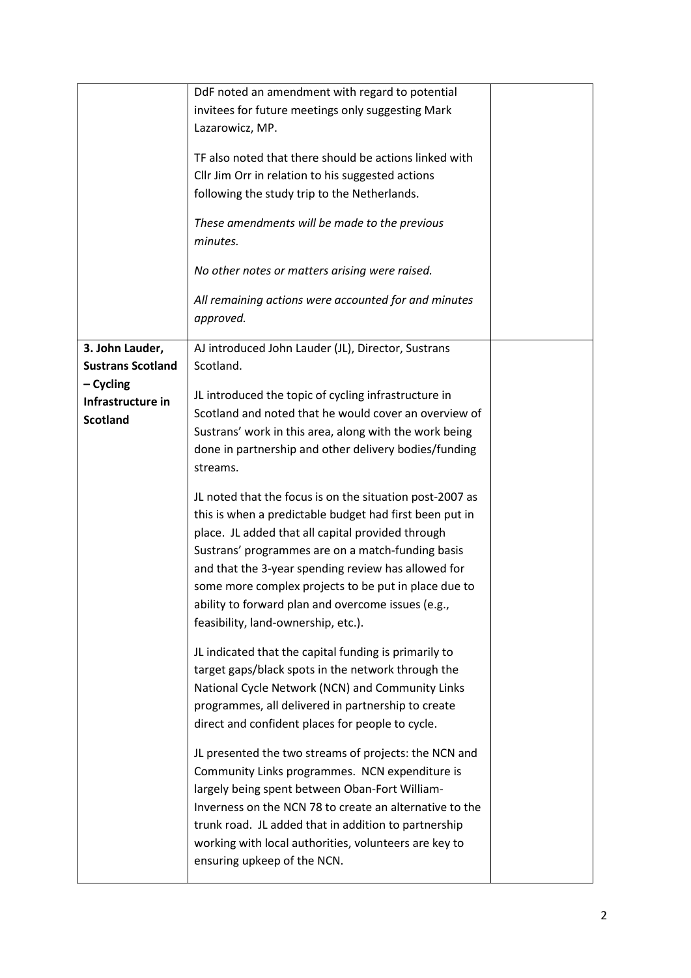|                                                     | DdF noted an amendment with regard to potential<br>invitees for future meetings only suggesting Mark<br>Lazarowicz, MP.<br>TF also noted that there should be actions linked with<br>Cllr Jim Orr in relation to his suggested actions<br>following the study trip to the Netherlands.<br>These amendments will be made to the previous<br>minutes.<br>No other notes or matters arising were raised.<br>All remaining actions were accounted for and minutes<br>approved. |  |
|-----------------------------------------------------|----------------------------------------------------------------------------------------------------------------------------------------------------------------------------------------------------------------------------------------------------------------------------------------------------------------------------------------------------------------------------------------------------------------------------------------------------------------------------|--|
| 3. John Lauder,<br><b>Sustrans Scotland</b>         | AJ introduced John Lauder (JL), Director, Sustrans<br>Scotland.                                                                                                                                                                                                                                                                                                                                                                                                            |  |
| $-$ Cycling<br>Infrastructure in<br><b>Scotland</b> | JL introduced the topic of cycling infrastructure in<br>Scotland and noted that he would cover an overview of<br>Sustrans' work in this area, along with the work being<br>done in partnership and other delivery bodies/funding<br>streams.                                                                                                                                                                                                                               |  |
|                                                     | JL noted that the focus is on the situation post-2007 as<br>this is when a predictable budget had first been put in<br>place. JL added that all capital provided through<br>Sustrans' programmes are on a match-funding basis<br>and that the 3-year spending review has allowed for<br>some more complex projects to be put in place due to<br>ability to forward plan and overcome issues (e.g.,<br>feasibility, land-ownership, etc.).                                  |  |
|                                                     | JL indicated that the capital funding is primarily to<br>target gaps/black spots in the network through the<br>National Cycle Network (NCN) and Community Links<br>programmes, all delivered in partnership to create<br>direct and confident places for people to cycle.                                                                                                                                                                                                  |  |
|                                                     | JL presented the two streams of projects: the NCN and<br>Community Links programmes. NCN expenditure is<br>largely being spent between Oban-Fort William-<br>Inverness on the NCN 78 to create an alternative to the<br>trunk road. JL added that in addition to partnership<br>working with local authorities, volunteers are key to<br>ensuring upkeep of the NCN.                                                                                                       |  |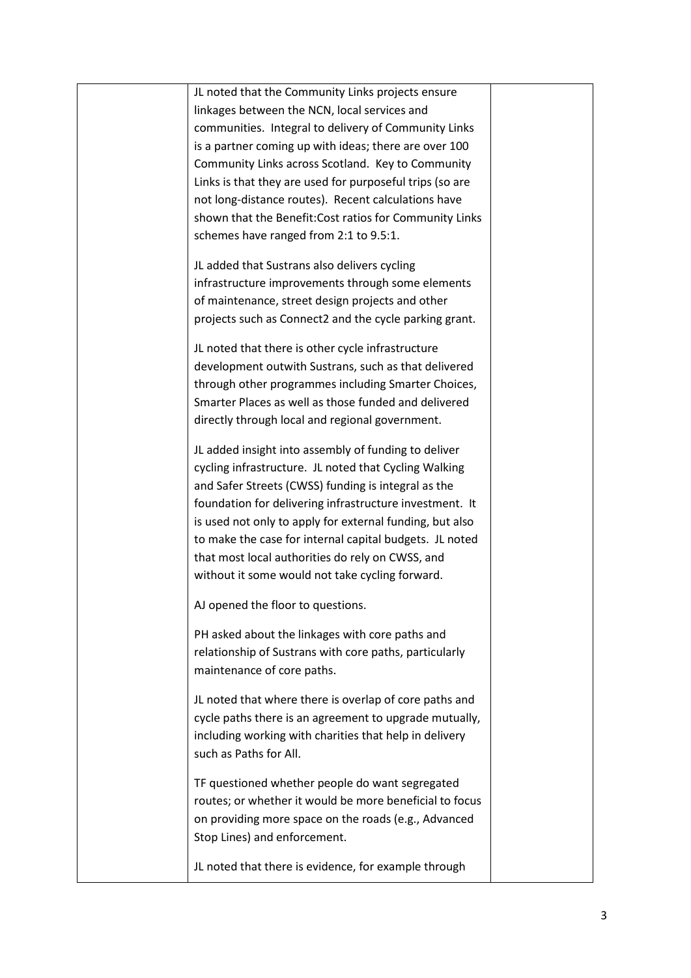| JL noted that the Community Links projects ensure        |  |
|----------------------------------------------------------|--|
| linkages between the NCN, local services and             |  |
| communities. Integral to delivery of Community Links     |  |
| is a partner coming up with ideas; there are over 100    |  |
| Community Links across Scotland. Key to Community        |  |
| Links is that they are used for purposeful trips (so are |  |
| not long-distance routes). Recent calculations have      |  |
| shown that the Benefit: Cost ratios for Community Links  |  |
| schemes have ranged from 2:1 to 9.5:1.                   |  |
| JL added that Sustrans also delivers cycling             |  |
| infrastructure improvements through some elements        |  |
| of maintenance, street design projects and other         |  |
| projects such as Connect2 and the cycle parking grant.   |  |
|                                                          |  |
| JL noted that there is other cycle infrastructure        |  |
| development outwith Sustrans, such as that delivered     |  |
| through other programmes including Smarter Choices,      |  |
| Smarter Places as well as those funded and delivered     |  |
| directly through local and regional government.          |  |
| JL added insight into assembly of funding to deliver     |  |
| cycling infrastructure. JL noted that Cycling Walking    |  |
| and Safer Streets (CWSS) funding is integral as the      |  |
| foundation for delivering infrastructure investment. It  |  |
| is used not only to apply for external funding, but also |  |
| to make the case for internal capital budgets. JL noted  |  |
| that most local authorities do rely on CWSS, and         |  |
| without it some would not take cycling forward.          |  |
| AJ opened the floor to questions.                        |  |
|                                                          |  |
| PH asked about the linkages with core paths and          |  |
| relationship of Sustrans with core paths, particularly   |  |
| maintenance of core paths.                               |  |
| JL noted that where there is overlap of core paths and   |  |
| cycle paths there is an agreement to upgrade mutually,   |  |
| including working with charities that help in delivery   |  |
| such as Paths for All.                                   |  |
| TF questioned whether people do want segregated          |  |
| routes; or whether it would be more beneficial to focus  |  |
| on providing more space on the roads (e.g., Advanced     |  |
| Stop Lines) and enforcement.                             |  |
|                                                          |  |
| JL noted that there is evidence, for example through     |  |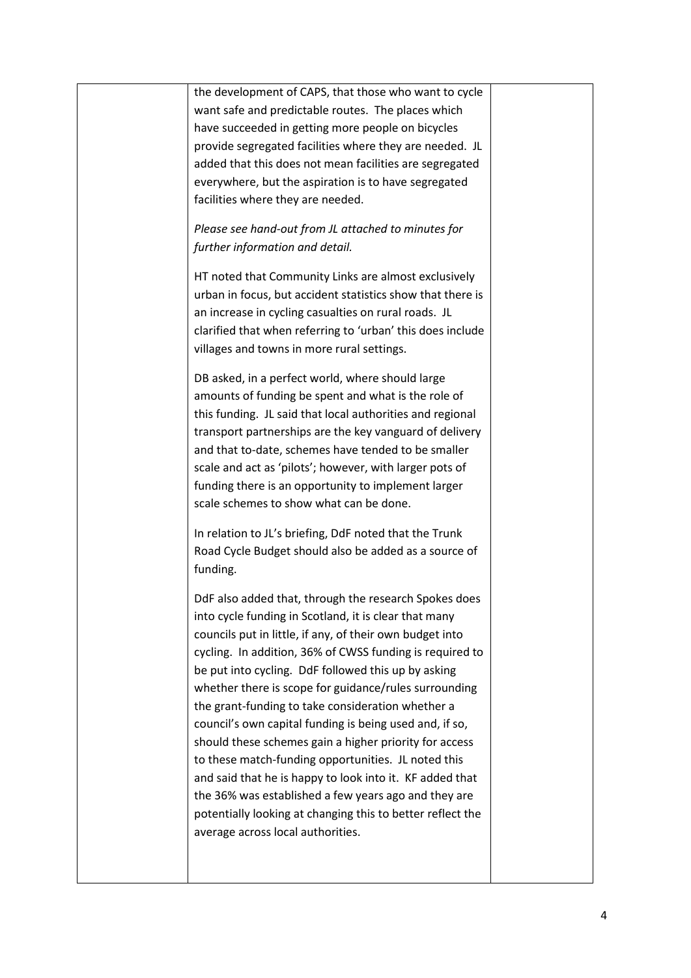| the development of CAPS, that those who want to cycle<br>want safe and predictable routes. The places which<br>have succeeded in getting more people on bicycles<br>provide segregated facilities where they are needed. JL<br>added that this does not mean facilities are segregated<br>everywhere, but the aspiration is to have segregated<br>facilities where they are needed.<br>Please see hand-out from JL attached to minutes for                                                                                                                                                                                                                                                                                                                                                                     |                                 |
|----------------------------------------------------------------------------------------------------------------------------------------------------------------------------------------------------------------------------------------------------------------------------------------------------------------------------------------------------------------------------------------------------------------------------------------------------------------------------------------------------------------------------------------------------------------------------------------------------------------------------------------------------------------------------------------------------------------------------------------------------------------------------------------------------------------|---------------------------------|
| HT noted that Community Links are almost exclusively<br>urban in focus, but accident statistics show that there is<br>an increase in cycling casualties on rural roads. JL<br>clarified that when referring to 'urban' this does include<br>villages and towns in more rural settings.                                                                                                                                                                                                                                                                                                                                                                                                                                                                                                                         |                                 |
| DB asked, in a perfect world, where should large<br>amounts of funding be spent and what is the role of<br>this funding. JL said that local authorities and regional<br>transport partnerships are the key vanguard of delivery<br>and that to-date, schemes have tended to be smaller<br>scale and act as 'pilots'; however, with larger pots of<br>funding there is an opportunity to implement larger<br>scale schemes to show what can be done.                                                                                                                                                                                                                                                                                                                                                            |                                 |
| In relation to JL's briefing, DdF noted that the Trunk<br>Road Cycle Budget should also be added as a source of<br>funding.                                                                                                                                                                                                                                                                                                                                                                                                                                                                                                                                                                                                                                                                                    |                                 |
| DdF also added that, through the research Spokes does<br>into cycle funding in Scotland, it is clear that many<br>councils put in little, if any, of their own budget into<br>cycling. In addition, 36% of CWSS funding is required to<br>be put into cycling. DdF followed this up by asking<br>whether there is scope for guidance/rules surrounding<br>the grant-funding to take consideration whether a<br>council's own capital funding is being used and, if so,<br>should these schemes gain a higher priority for access<br>to these match-funding opportunities. JL noted this<br>and said that he is happy to look into it. KF added that<br>the 36% was established a few years ago and they are<br>potentially looking at changing this to better reflect the<br>average across local authorities. |                                 |
|                                                                                                                                                                                                                                                                                                                                                                                                                                                                                                                                                                                                                                                                                                                                                                                                                | further information and detail. |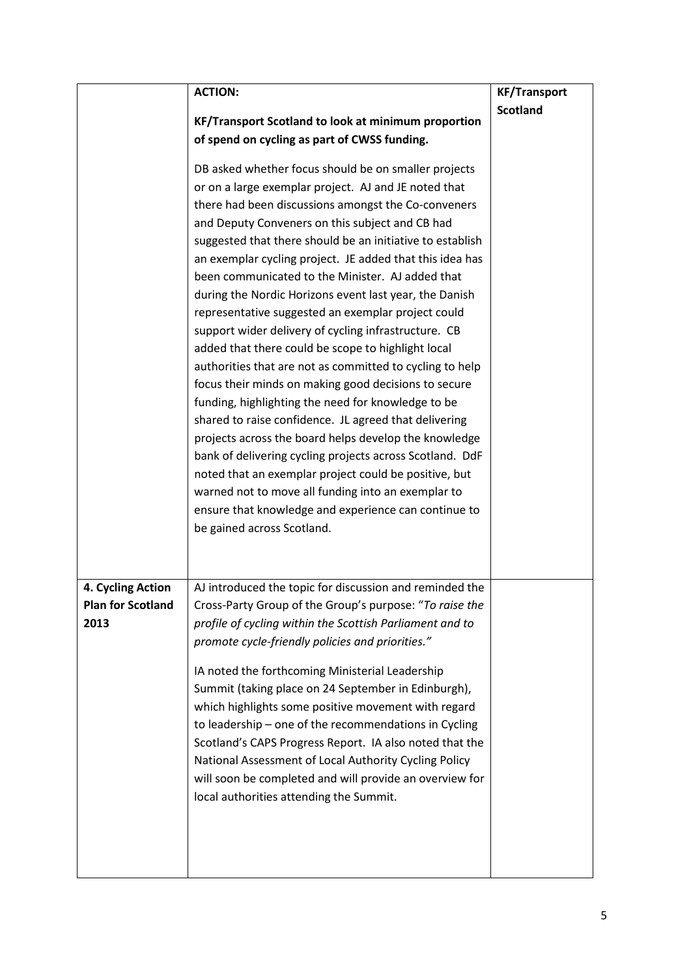|                          | <b>ACTION:</b>                                            | <b>KF/Transport</b> |
|--------------------------|-----------------------------------------------------------|---------------------|
|                          |                                                           | <b>Scotland</b>     |
|                          | KF/Transport Scotland to look at minimum proportion       |                     |
|                          | of spend on cycling as part of CWSS funding.              |                     |
|                          | DB asked whether focus should be on smaller projects      |                     |
|                          | or on a large exemplar project. AJ and JE noted that      |                     |
|                          | there had been discussions amongst the Co-conveners       |                     |
|                          | and Deputy Conveners on this subject and CB had           |                     |
|                          | suggested that there should be an initiative to establish |                     |
|                          | an exemplar cycling project. JE added that this idea has  |                     |
|                          | been communicated to the Minister. AJ added that          |                     |
|                          | during the Nordic Horizons event last year, the Danish    |                     |
|                          | representative suggested an exemplar project could        |                     |
|                          | support wider delivery of cycling infrastructure. CB      |                     |
|                          | added that there could be scope to highlight local        |                     |
|                          | authorities that are not as committed to cycling to help  |                     |
|                          | focus their minds on making good decisions to secure      |                     |
|                          | funding, highlighting the need for knowledge to be        |                     |
|                          | shared to raise confidence. JL agreed that delivering     |                     |
|                          | projects across the board helps develop the knowledge     |                     |
|                          | bank of delivering cycling projects across Scotland. DdF  |                     |
|                          | noted that an exemplar project could be positive, but     |                     |
|                          | warned not to move all funding into an exemplar to        |                     |
|                          | ensure that knowledge and experience can continue to      |                     |
|                          | be gained across Scotland.                                |                     |
|                          |                                                           |                     |
|                          |                                                           |                     |
| 4. Cycling Action        | AJ introduced the topic for discussion and reminded the   |                     |
| <b>Plan for Scotland</b> | Cross-Party Group of the Group's purpose: "To raise the   |                     |
| 2013                     | profile of cycling within the Scottish Parliament and to  |                     |
|                          | promote cycle-friendly policies and priorities."          |                     |
|                          |                                                           |                     |
|                          | IA noted the forthcoming Ministerial Leadership           |                     |
|                          | Summit (taking place on 24 September in Edinburgh),       |                     |
|                          | which highlights some positive movement with regard       |                     |
|                          | to leadership - one of the recommendations in Cycling     |                     |
|                          | Scotland's CAPS Progress Report. IA also noted that the   |                     |
|                          | National Assessment of Local Authority Cycling Policy     |                     |
|                          | will soon be completed and will provide an overview for   |                     |
|                          | local authorities attending the Summit.                   |                     |
|                          |                                                           |                     |
|                          |                                                           |                     |
|                          |                                                           |                     |
|                          |                                                           |                     |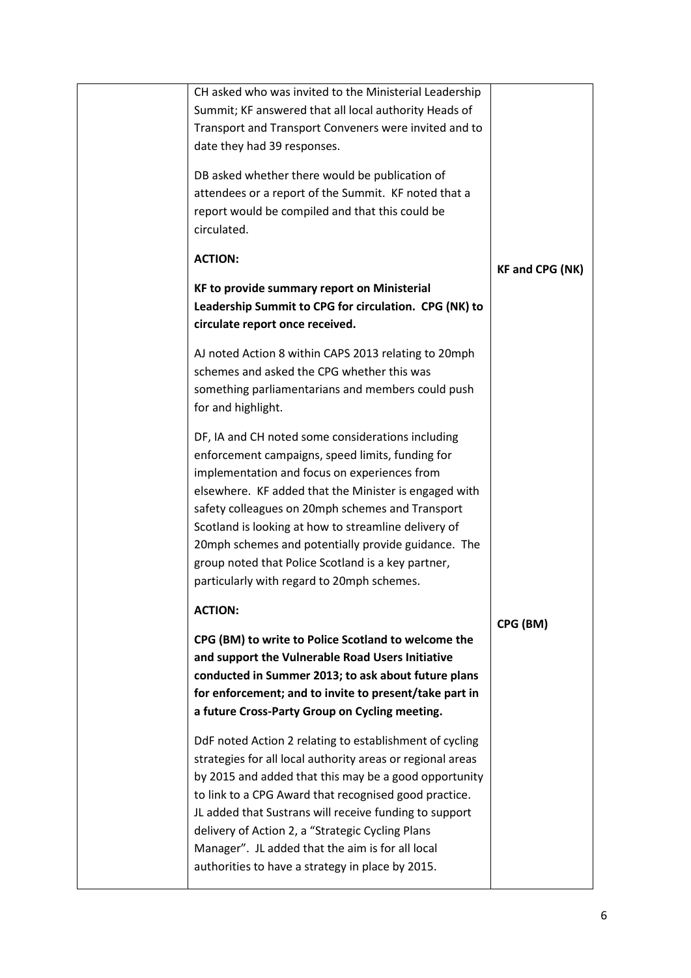| CH asked who was invited to the Ministerial Leadership<br>Summit; KF answered that all local authority Heads of<br>Transport and Transport Conveners were invited and to<br>date they had 39 responses.<br>DB asked whether there would be publication of<br>attendees or a report of the Summit. KF noted that a<br>report would be compiled and that this could be<br>circulated.<br><b>ACTION:</b><br>KF to provide summary report on Ministerial<br>Leadership Summit to CPG for circulation. CPG (NK) to<br>circulate report once received.<br>AJ noted Action 8 within CAPS 2013 relating to 20mph                                                                                                                                                      | <b>KF and CPG (NK)</b> |
|---------------------------------------------------------------------------------------------------------------------------------------------------------------------------------------------------------------------------------------------------------------------------------------------------------------------------------------------------------------------------------------------------------------------------------------------------------------------------------------------------------------------------------------------------------------------------------------------------------------------------------------------------------------------------------------------------------------------------------------------------------------|------------------------|
| schemes and asked the CPG whether this was<br>something parliamentarians and members could push<br>for and highlight.<br>DF, IA and CH noted some considerations including<br>enforcement campaigns, speed limits, funding for<br>implementation and focus on experiences from<br>elsewhere. KF added that the Minister is engaged with<br>safety colleagues on 20mph schemes and Transport<br>Scotland is looking at how to streamline delivery of<br>20mph schemes and potentially provide guidance. The<br>group noted that Police Scotland is a key partner,<br>particularly with regard to 20mph schemes.                                                                                                                                                |                        |
| <b>ACTION:</b><br>CPG (BM) to write to Police Scotland to welcome the<br>and support the Vulnerable Road Users Initiative<br>conducted in Summer 2013; to ask about future plans<br>for enforcement; and to invite to present/take part in<br>a future Cross-Party Group on Cycling meeting.<br>DdF noted Action 2 relating to establishment of cycling<br>strategies for all local authority areas or regional areas<br>by 2015 and added that this may be a good opportunity<br>to link to a CPG Award that recognised good practice.<br>JL added that Sustrans will receive funding to support<br>delivery of Action 2, a "Strategic Cycling Plans<br>Manager". JL added that the aim is for all local<br>authorities to have a strategy in place by 2015. | CPG (BM)               |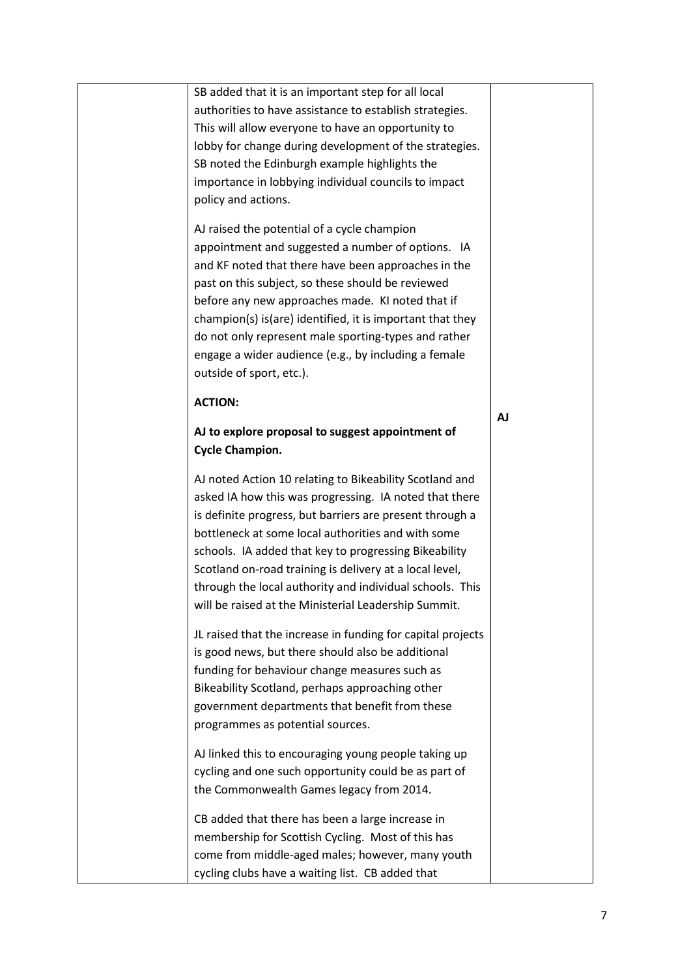| SB added that it is an important step for all local                                                |           |
|----------------------------------------------------------------------------------------------------|-----------|
| authorities to have assistance to establish strategies.                                            |           |
| This will allow everyone to have an opportunity to                                                 |           |
| lobby for change during development of the strategies.                                             |           |
| SB noted the Edinburgh example highlights the                                                      |           |
| importance in lobbying individual councils to impact                                               |           |
| policy and actions.                                                                                |           |
| AJ raised the potential of a cycle champion                                                        |           |
| appointment and suggested a number of options. IA                                                  |           |
| and KF noted that there have been approaches in the                                                |           |
| past on this subject, so these should be reviewed                                                  |           |
| before any new approaches made. KI noted that if                                                   |           |
| champion(s) is (are) identified, it is important that they                                         |           |
| do not only represent male sporting-types and rather                                               |           |
| engage a wider audience (e.g., by including a female                                               |           |
| outside of sport, etc.).                                                                           |           |
| <b>ACTION:</b>                                                                                     |           |
|                                                                                                    | <b>AJ</b> |
| AJ to explore proposal to suggest appointment of                                                   |           |
| <b>Cycle Champion.</b>                                                                             |           |
| AJ noted Action 10 relating to Bikeability Scotland and                                            |           |
| asked IA how this was progressing. IA noted that there                                             |           |
| is definite progress, but barriers are present through a                                           |           |
| bottleneck at some local authorities and with some                                                 |           |
| schools. IA added that key to progressing Bikeability                                              |           |
| Scotland on-road training is delivery at a local level,                                            |           |
| through the local authority and individual schools. This                                           |           |
| will be raised at the Ministerial Leadership Summit.                                               |           |
|                                                                                                    |           |
| JL raised that the increase in funding for capital projects                                        |           |
| is good news, but there should also be additional<br>funding for behaviour change measures such as |           |
| Bikeability Scotland, perhaps approaching other                                                    |           |
| government departments that benefit from these                                                     |           |
| programmes as potential sources.                                                                   |           |
|                                                                                                    |           |
| AJ linked this to encouraging young people taking up                                               |           |
| cycling and one such opportunity could be as part of                                               |           |
| the Commonwealth Games legacy from 2014.                                                           |           |
| CB added that there has been a large increase in                                                   |           |
| membership for Scottish Cycling. Most of this has                                                  |           |
| come from middle-aged males; however, many youth                                                   |           |
| cycling clubs have a waiting list. CB added that                                                   |           |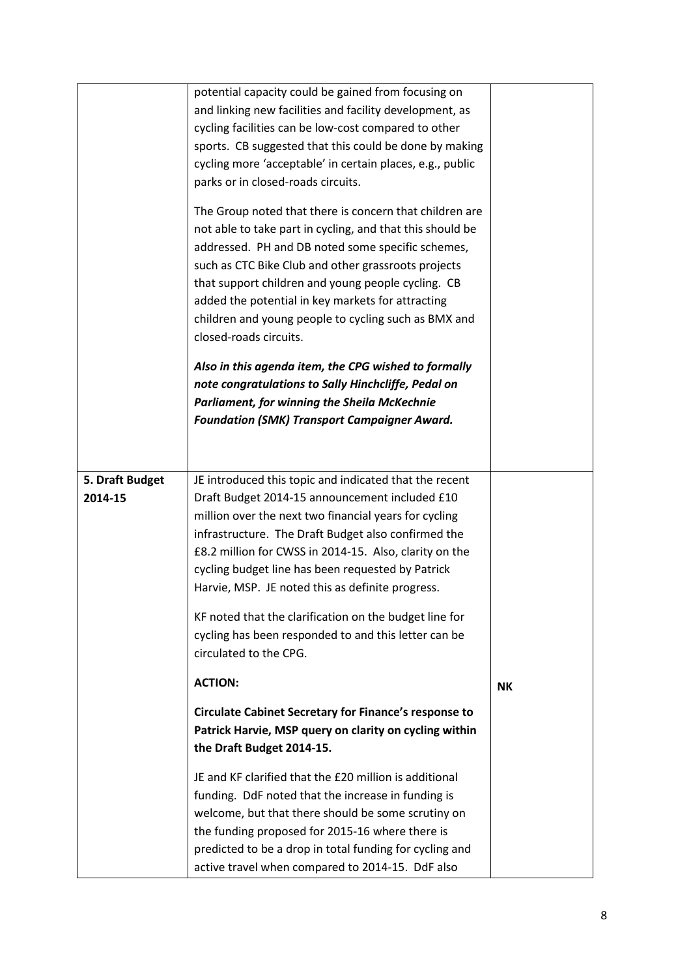|                            | JE and KF clarified that the £20 million is additional<br>funding. DdF noted that the increase in funding is<br>welcome, but that there should be some scrutiny on<br>the funding proposed for 2015-16 where there is<br>predicted to be a drop in total funding for cycling and<br>active travel when compared to 2014-15. DdF also                                                                |           |
|----------------------------|-----------------------------------------------------------------------------------------------------------------------------------------------------------------------------------------------------------------------------------------------------------------------------------------------------------------------------------------------------------------------------------------------------|-----------|
|                            | <b>Circulate Cabinet Secretary for Finance's response to</b><br>Patrick Harvie, MSP query on clarity on cycling within<br>the Draft Budget 2014-15.                                                                                                                                                                                                                                                 |           |
|                            | <b>ACTION:</b>                                                                                                                                                                                                                                                                                                                                                                                      | <b>NK</b> |
|                            | Harvie, MSP. JE noted this as definite progress.<br>KF noted that the clarification on the budget line for<br>cycling has been responded to and this letter can be<br>circulated to the CPG.                                                                                                                                                                                                        |           |
| 5. Draft Budget<br>2014-15 | JE introduced this topic and indicated that the recent<br>Draft Budget 2014-15 announcement included £10<br>million over the next two financial years for cycling<br>infrastructure. The Draft Budget also confirmed the<br>£8.2 million for CWSS in 2014-15. Also, clarity on the<br>cycling budget line has been requested by Patrick                                                             |           |
|                            |                                                                                                                                                                                                                                                                                                                                                                                                     |           |
|                            | closed-roads circuits.<br>Also in this agenda item, the CPG wished to formally<br>note congratulations to Sally Hinchcliffe, Pedal on<br><b>Parliament, for winning the Sheila McKechnie</b><br><b>Foundation (SMK) Transport Campaigner Award.</b>                                                                                                                                                 |           |
|                            | The Group noted that there is concern that children are<br>not able to take part in cycling, and that this should be<br>addressed. PH and DB noted some specific schemes,<br>such as CTC Bike Club and other grassroots projects<br>that support children and young people cycling. CB<br>added the potential in key markets for attracting<br>children and young people to cycling such as BMX and |           |
|                            | and linking new facilities and facility development, as<br>cycling facilities can be low-cost compared to other<br>sports. CB suggested that this could be done by making<br>cycling more 'acceptable' in certain places, e.g., public<br>parks or in closed-roads circuits.                                                                                                                        |           |
|                            | potential capacity could be gained from focusing on                                                                                                                                                                                                                                                                                                                                                 |           |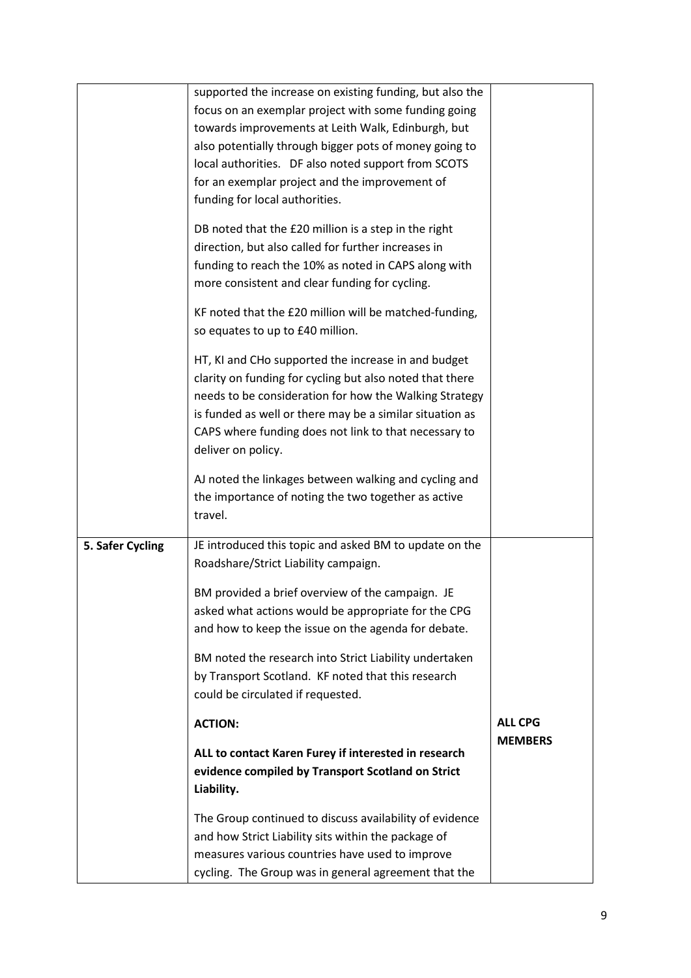|                  | supported the increase on existing funding, but also the<br>focus on an exemplar project with some funding going<br>towards improvements at Leith Walk, Edinburgh, but<br>also potentially through bigger pots of money going to<br>local authorities. DF also noted support from SCOTS<br>for an exemplar project and the improvement of<br>funding for local authorities.<br>DB noted that the £20 million is a step in the right<br>direction, but also called for further increases in<br>funding to reach the 10% as noted in CAPS along with<br>more consistent and clear funding for cycling.<br>KF noted that the £20 million will be matched-funding,<br>so equates to up to £40 million.<br>HT, KI and CHo supported the increase in and budget<br>clarity on funding for cycling but also noted that there<br>needs to be consideration for how the Walking Strategy |                                  |
|------------------|---------------------------------------------------------------------------------------------------------------------------------------------------------------------------------------------------------------------------------------------------------------------------------------------------------------------------------------------------------------------------------------------------------------------------------------------------------------------------------------------------------------------------------------------------------------------------------------------------------------------------------------------------------------------------------------------------------------------------------------------------------------------------------------------------------------------------------------------------------------------------------|----------------------------------|
|                  | is funded as well or there may be a similar situation as<br>CAPS where funding does not link to that necessary to<br>deliver on policy.<br>AJ noted the linkages between walking and cycling and                                                                                                                                                                                                                                                                                                                                                                                                                                                                                                                                                                                                                                                                                |                                  |
|                  | the importance of noting the two together as active<br>travel.                                                                                                                                                                                                                                                                                                                                                                                                                                                                                                                                                                                                                                                                                                                                                                                                                  |                                  |
| 5. Safer Cycling | JE introduced this topic and asked BM to update on the<br>Roadshare/Strict Liability campaign.                                                                                                                                                                                                                                                                                                                                                                                                                                                                                                                                                                                                                                                                                                                                                                                  |                                  |
|                  | BM provided a brief overview of the campaign. JE<br>asked what actions would be appropriate for the CPG<br>and how to keep the issue on the agenda for debate.                                                                                                                                                                                                                                                                                                                                                                                                                                                                                                                                                                                                                                                                                                                  |                                  |
|                  | BM noted the research into Strict Liability undertaken<br>by Transport Scotland. KF noted that this research<br>could be circulated if requested.                                                                                                                                                                                                                                                                                                                                                                                                                                                                                                                                                                                                                                                                                                                               |                                  |
|                  | <b>ACTION:</b>                                                                                                                                                                                                                                                                                                                                                                                                                                                                                                                                                                                                                                                                                                                                                                                                                                                                  | <b>ALL CPG</b><br><b>MEMBERS</b> |
|                  | ALL to contact Karen Furey if interested in research<br>evidence compiled by Transport Scotland on Strict<br>Liability.                                                                                                                                                                                                                                                                                                                                                                                                                                                                                                                                                                                                                                                                                                                                                         |                                  |
|                  | The Group continued to discuss availability of evidence<br>and how Strict Liability sits within the package of<br>measures various countries have used to improve<br>cycling. The Group was in general agreement that the                                                                                                                                                                                                                                                                                                                                                                                                                                                                                                                                                                                                                                                       |                                  |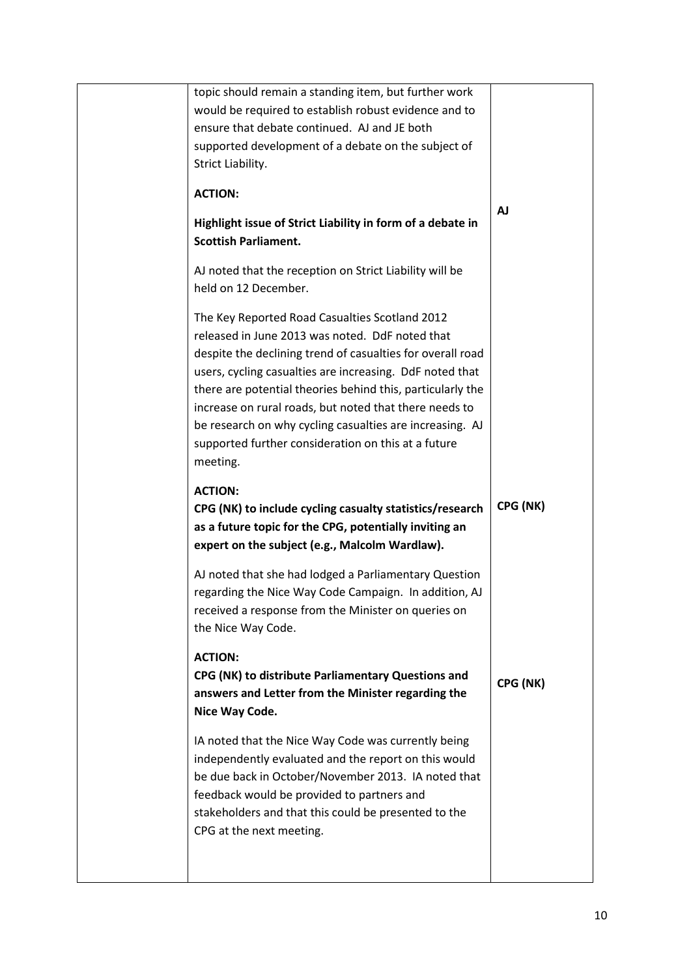| topic should remain a standing item, but further work                                                                                                                                                                                                                                                |           |
|------------------------------------------------------------------------------------------------------------------------------------------------------------------------------------------------------------------------------------------------------------------------------------------------------|-----------|
| would be required to establish robust evidence and to                                                                                                                                                                                                                                                |           |
| ensure that debate continued. AJ and JE both<br>supported development of a debate on the subject of                                                                                                                                                                                                  |           |
| Strict Liability.                                                                                                                                                                                                                                                                                    |           |
|                                                                                                                                                                                                                                                                                                      |           |
| <b>ACTION:</b>                                                                                                                                                                                                                                                                                       |           |
| Highlight issue of Strict Liability in form of a debate in                                                                                                                                                                                                                                           | <b>AJ</b> |
| <b>Scottish Parliament.</b>                                                                                                                                                                                                                                                                          |           |
| AJ noted that the reception on Strict Liability will be                                                                                                                                                                                                                                              |           |
| held on 12 December.                                                                                                                                                                                                                                                                                 |           |
| The Key Reported Road Casualties Scotland 2012<br>released in June 2013 was noted. DdF noted that<br>despite the declining trend of casualties for overall road<br>users, cycling casualties are increasing. DdF noted that                                                                          |           |
| there are potential theories behind this, particularly the<br>increase on rural roads, but noted that there needs to<br>be research on why cycling casualties are increasing. AJ<br>supported further consideration on this at a future<br>meeting.                                                  |           |
| <b>ACTION:</b><br>CPG (NK) to include cycling casualty statistics/research<br>as a future topic for the CPG, potentially inviting an<br>expert on the subject (e.g., Malcolm Wardlaw).                                                                                                               | CPG (NK)  |
| AJ noted that she had lodged a Parliamentary Question<br>regarding the Nice Way Code Campaign. In addition, AJ<br>received a response from the Minister on queries on<br>the Nice Way Code.                                                                                                          |           |
| <b>ACTION:</b><br>CPG (NK) to distribute Parliamentary Questions and<br>answers and Letter from the Minister regarding the<br>Nice Way Code.                                                                                                                                                         | CPG (NK)  |
| IA noted that the Nice Way Code was currently being<br>independently evaluated and the report on this would<br>be due back in October/November 2013. IA noted that<br>feedback would be provided to partners and<br>stakeholders and that this could be presented to the<br>CPG at the next meeting. |           |
|                                                                                                                                                                                                                                                                                                      |           |